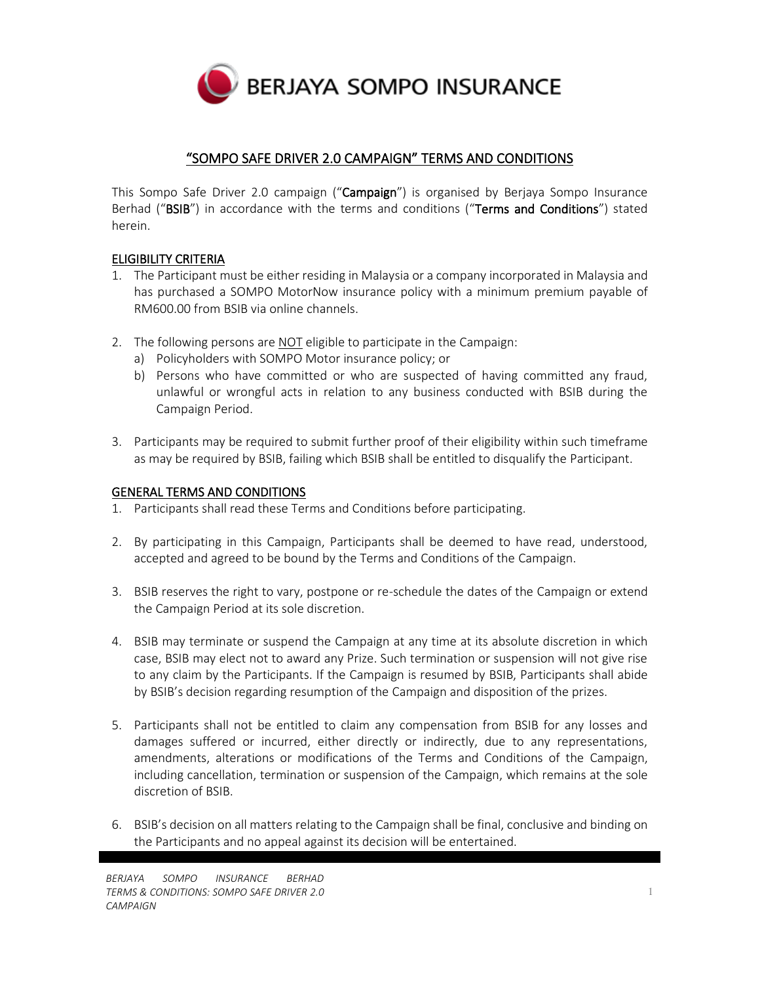

# "SOMPO SAFE DRIVER 2.0 CAMPAIGN" TERMS AND CONDITIONS

This Sompo Safe Driver 2.0 campaign ("Campaign") is organised by Berjaya Sompo Insurance Berhad ("BSIB") in accordance with the terms and conditions ("Terms and Conditions") stated herein.

# ELIGIBILITY CRITERIA

- 1. The Participant must be either residing in Malaysia or a company incorporated in Malaysia and has purchased a SOMPO MotorNow insurance policy with a minimum premium payable of RM600.00 from BSIB via online channels.
- 2. The following persons are NOT eligible to participate in the Campaign:
	- a) Policyholders with SOMPO Motor insurance policy; or
	- b) Persons who have committed or who are suspected of having committed any fraud, unlawful or wrongful acts in relation to any business conducted with BSIB during the Campaign Period.
- 3. Participants may be required to submit further proof of their eligibility within such timeframe as may be required by BSIB, failing which BSIB shall be entitled to disqualify the Participant.

### GENERAL TERMS AND CONDITIONS

- 1. Participants shall read these Terms and Conditions before participating.
- 2. By participating in this Campaign, Participants shall be deemed to have read, understood, accepted and agreed to be bound by the Terms and Conditions of the Campaign.
- 3. BSIB reserves the right to vary, postpone or re-schedule the dates of the Campaign or extend the Campaign Period at its sole discretion.
- 4. BSIB may terminate or suspend the Campaign at any time at its absolute discretion in which case, BSIB may elect not to award any Prize. Such termination or suspension will not give rise to any claim by the Participants. If the Campaign is resumed by BSIB, Participants shall abide by BSIB's decision regarding resumption of the Campaign and disposition of the prizes.
- 5. Participants shall not be entitled to claim any compensation from BSIB for any losses and damages suffered or incurred, either directly or indirectly, due to any representations, amendments, alterations or modifications of the Terms and Conditions of the Campaign, including cancellation, termination or suspension of the Campaign, which remains at the sole discretion of BSIB.
- 6. BSIB's decision on all matters relating to the Campaign shall be final, conclusive and binding on the Participants and no appeal against its decision will be entertained.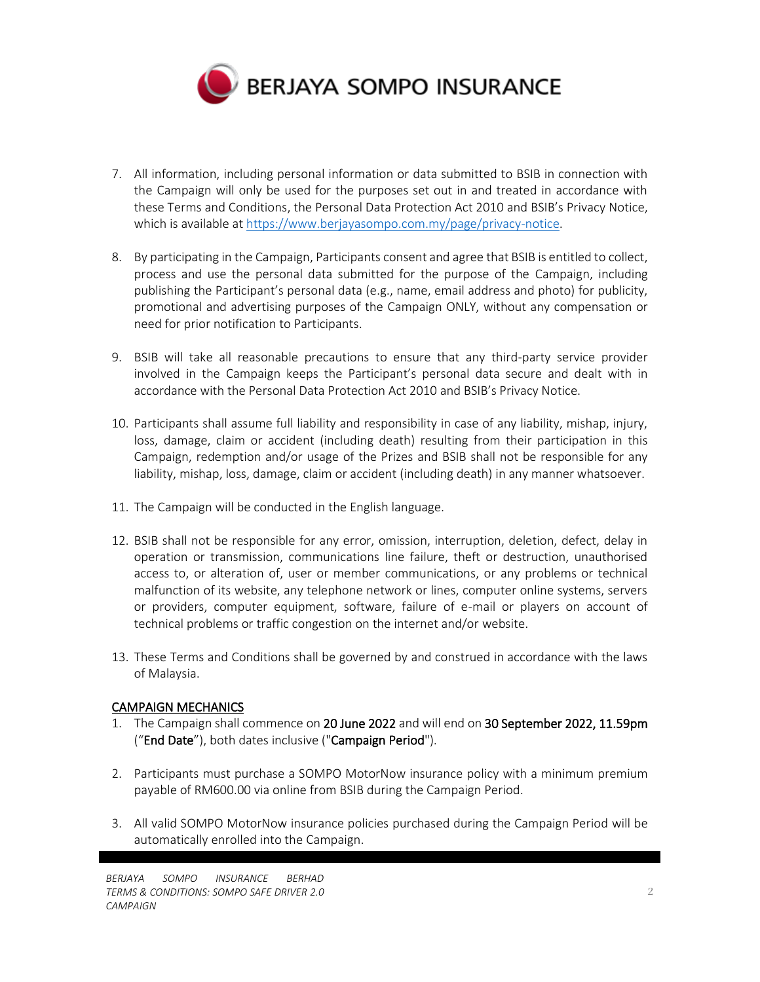

- 7. All information, including personal information or data submitted to BSIB in connection with the Campaign will only be used for the purposes set out in and treated in accordance with these Terms and Conditions, the Personal Data Protection Act 2010 and BSIB's Privacy Notice, which is available a[t https://www.berjayasompo.com.my/page/privacy-notice.](https://www.berjayasompo.com.my/page/privacy-notice)
- 8. By participating in the Campaign, Participants consent and agree that BSIB is entitled to collect, process and use the personal data submitted for the purpose of the Campaign, including publishing the Participant's personal data (e.g., name, email address and photo) for publicity, promotional and advertising purposes of the Campaign ONLY, without any compensation or need for prior notification to Participants.
- 9. BSIB will take all reasonable precautions to ensure that any third-party service provider involved in the Campaign keeps the Participant's personal data secure and dealt with in accordance with the Personal Data Protection Act 2010 and BSIB's Privacy Notice.
- 10. Participants shall assume full liability and responsibility in case of any liability, mishap, injury, loss, damage, claim or accident (including death) resulting from their participation in this Campaign, redemption and/or usage of the Prizes and BSIB shall not be responsible for any liability, mishap, loss, damage, claim or accident (including death) in any manner whatsoever.
- 11. The Campaign will be conducted in the English language.
- 12. BSIB shall not be responsible for any error, omission, interruption, deletion, defect, delay in operation or transmission, communications line failure, theft or destruction, unauthorised access to, or alteration of, user or member communications, or any problems or technical malfunction of its website, any telephone network or lines, computer online systems, servers or providers, computer equipment, software, failure of e-mail or players on account of technical problems or traffic congestion on the internet and/or website.
- 13. These Terms and Conditions shall be governed by and construed in accordance with the laws of Malaysia.

# CAMPAIGN MECHANICS

- 1. The Campaign shall commence on 20 June 2022 and will end on 30 September 2022, 11.59pm ("End Date"), both dates inclusive ("Campaign Period").
- 2. Participants must purchase a SOMPO MotorNow insurance policy with a minimum premium payable of RM600.00 via online from BSIB during the Campaign Period.
- 3. All valid SOMPO MotorNow insurance policies purchased during the Campaign Period will be automatically enrolled into the Campaign.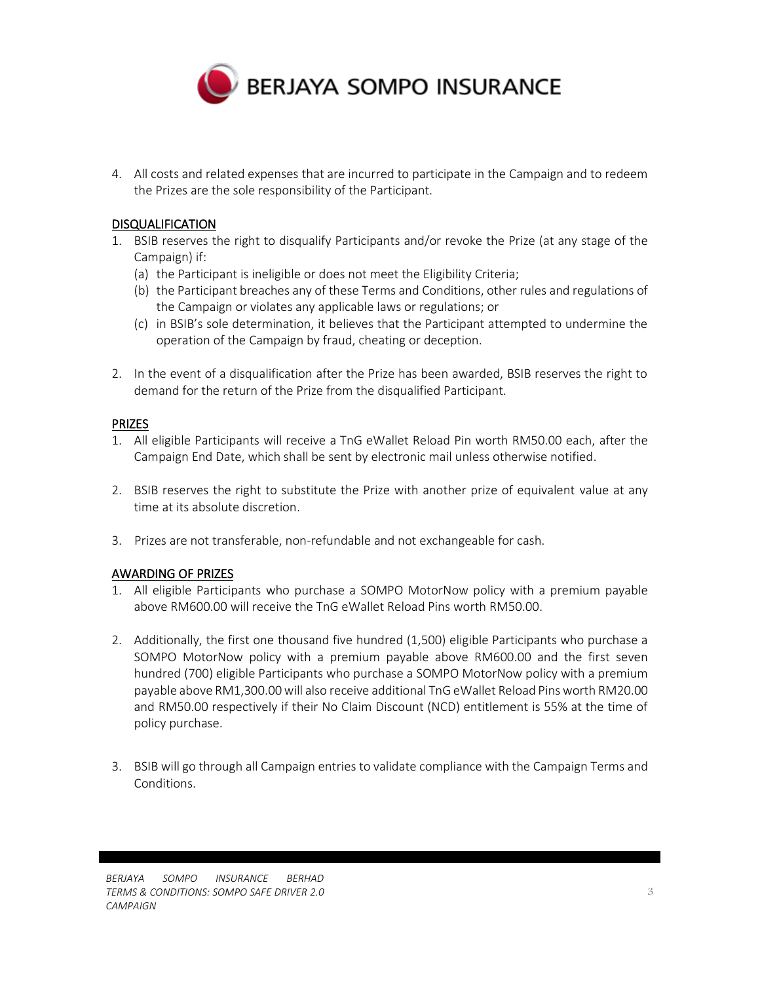

4. All costs and related expenses that are incurred to participate in the Campaign and to redeem the Prizes are the sole responsibility of the Participant.

## DISQUALIFICATION

- 1. BSIB reserves the right to disqualify Participants and/or revoke the Prize (at any stage of the Campaign) if:
	- (a) the Participant is ineligible or does not meet the Eligibility Criteria;
	- (b) the Participant breaches any of these Terms and Conditions, other rules and regulations of the Campaign or violates any applicable laws or regulations; or
	- (c) in BSIB's sole determination, it believes that the Participant attempted to undermine the operation of the Campaign by fraud, cheating or deception.
- 2. In the event of a disqualification after the Prize has been awarded, BSIB reserves the right to demand for the return of the Prize from the disqualified Participant.

#### PRIZES

- 1. All eligible Participants will receive a TnG eWallet Reload Pin worth RM50.00 each, after the Campaign End Date, which shall be sent by electronic mail unless otherwise notified.
- 2. BSIB reserves the right to substitute the Prize with another prize of equivalent value at any time at its absolute discretion.
- 3. Prizes are not transferable, non-refundable and not exchangeable for cash.

#### AWARDING OF PRIZES

- 1. All eligible Participants who purchase a SOMPO MotorNow policy with a premium payable above RM600.00 will receive the TnG eWallet Reload Pins worth RM50.00.
- 2. Additionally, the first one thousand five hundred (1,500) eligible Participants who purchase a SOMPO MotorNow policy with a premium payable above RM600.00 and the first seven hundred (700) eligible Participants who purchase a SOMPO MotorNow policy with a premium payable above RM1,300.00will also receive additional TnG eWallet Reload Pins worth RM20.00 and RM50.00 respectively if their No Claim Discount (NCD) entitlement is 55% at the time of policy purchase.
- 3. BSIB will go through all Campaign entries to validate compliance with the Campaign Terms and Conditions.